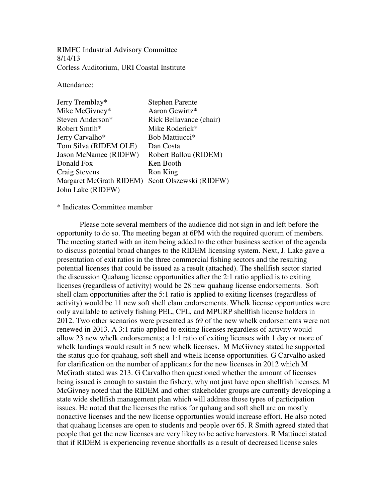RIMFC Industrial Advisory Committee 8/14/13 Corless Auditorium, URI Coastal Institute

Attendance:

| Jerry Tremblay*         | <b>Stephen Parente</b>     |
|-------------------------|----------------------------|
| Mike McGivney*          | Aaron Gewirtz*             |
| Steven Anderson*        | Rick Bellavance (chair)    |
| Robert Smtih*           | Mike Roderick*             |
| Jerry Carvalho*         | Bob Mattiucci <sup>*</sup> |
| Tom Silva (RIDEM OLE)   | Dan Costa                  |
| Jason McNamee (RIDFW)   | Robert Ballou (RIDEM)      |
| Donald Fox              | Ken Booth                  |
| Craig Stevens           | Ron King                   |
| Margaret McGrath RIDEM) | Scott Olszewski (RIDFW)    |
| John Lake (RIDFW)       |                            |

\* Indicates Committee member

Please note several members of the audience did not sign in and left before the opportunity to do so. The meeting began at 6PM with the required quorum of members. The meeting started with an item being added to the other business section of the agenda to discuss potential broad changes to the RIDEM licensing system. Next, J. Lake gave a presentation of exit ratios in the three commercial fishing sectors and the resulting potential licenses that could be issued as a result (attached). The shellfish sector started the discussion Quahaug license opportunities after the 2:1 ratio applied is to exiting licenses (regardless of activity) would be 28 new quahaug license endorsements. Soft shell clam opportunities after the 5:1 ratio is applied to exiting licenses (regardless of activity) would be 11 new soft shell clam endorsements. Whelk license opportunties were only available to actively fishing PEL, CFL, and MPURP shellfish license holders in 2012. Two other scenarios were presented as 69 of the new whelk endorsements were not renewed in 2013. A 3:1 ratio applied to exiting licenses regardless of activity would allow 23 new whelk endorsements; a 1:1 ratio of exiting licenses with 1 day or more of whelk landings would result in 5 new whelk licenses. M McGivney stated he supported the status quo for quahaug, soft shell and whelk license opportunities. G Carvalho asked for clarification on the number of applicants for the new licenses in 2012 which M McGrath stated was 213. G Carvalho then questioned whether the amount of licenses being issued is enough to sustain the fishery, why not just have open shellfish licenses. M McGivney noted that the RIDEM and other stakeholder groups are currently developing a state wide shellfish management plan which will address those types of participation issues. He noted that the licenses the ratios for quhaug and soft shell are on mostly nonactive licenses and the new license opportunties would increase effort. He also noted that quahaug licenses are open to students and people over 65. R Smith agreed stated that people that get the new licenses are very likey to be active harvestors. R Mattiucci stated that if RIDEM is experiencing revenue shortfalls as a result of decreased license sales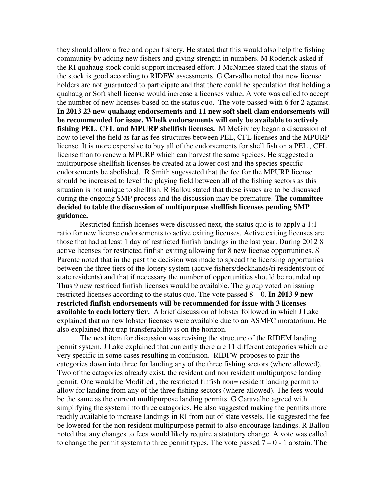they should allow a free and open fishery. He stated that this would also help the fishing community by adding new fishers and giving strength in numbers. M Roderick asked if the RI quahaug stock could support increased effort. J McNamee stated that the status of the stock is good according to RIDFW assessments. G Carvalho noted that new license holders are not guaranteed to participate and that there could be speculation that holding a quahaug or Soft shell license would increase a licenses value. A vote was called to accept the number of new licenses based on the status quo. The vote passed with 6 for 2 against. **In 2013 23 new quahaug endorsements and 11 new soft shell clam endorsements will be recommended for issue. Whelk endorsements will only be available to actively**  fishing PEL, CFL and MPURP shellfish licenses. M McGivney began a discussion of how to level the field as far as fee structures between PEL, CFL licenses and the MPURP license. It is more expensive to buy all of the endorsements for shell fish on a PEL , CFL license than to renew a MPURP which can harvest the same speices. He suggested a multipurpose shellfish licenses be created at a lower cost and the species specific endorsements be abolished. R Smith sugesseted that the fee for the MPURP license should be increased to level the playing field between all of the fishing sectors as this situation is not unique to shellfish. R Ballou stated that these issues are to be discussed during the ongoing SMP process and the discussion may be premature. **The committee decided to table the discussion of multipurpose shellfish licenses pending SMP guidance.** 

Restricted finfish licenses were discussed next, the status quo is to apply a 1:1 ratio for new license endorsements to active exiting licenses. Active exiting licenses are those that had at least 1 day of restricted finfish landings in the last year. During 2012 8 active licenses for restricted finfish exiting allowing for 8 new license opportunities. S Parente noted that in the past the decision was made to spread the licensing opportunies between the three tiers of the lottery system (active fishers/deckhands/ri residents/out of state residents) and that if necessary the number of oppertunities should be rounded up. Thus 9 new restriced finfish licenses would be available. The group voted on issuing restricted licenses according to the status quo. The vote passed 8 – 0. **In 2013 9 new restricted finfish endorsements will be recommended for issue with 3 licenses available to each lottery tier.** A brief discussion of lobster followed in which J Lake explained that no new lobster licenses were available due to an ASMFC moratorium. He also explained that trap transferability is on the horizon.

The next item for discussion was revising the structure of the RIDEM landing permit system. J Lake explained that currently there are 11 different categories which are very specific in some cases resulting in confusion. RIDFW proposes to pair the categories down into three for landing any of the three fishing sectors (where allowed). Two of the catagories already exist, the resident and non resident multipurpose landing permit. One would be Modified , the restricted finfish non= resident landing permit to allow for landing from any of the three fishing sectors (where allowed). The fees would be the same as the current multipurpose landing permits. G Caravalho agreed with simplifying the system into three catagories. He also suggested making the permits more readily available to increase landings in RI from out of state vessels. He suggested the fee be lowered for the non resident multipurpose permit to also encourage landings. R Ballou noted that any changes to fees would likely require a statutory change. A vote was called to change the permit system to three permit types. The vote passed  $7 - 0 - 1$  abstain. **The**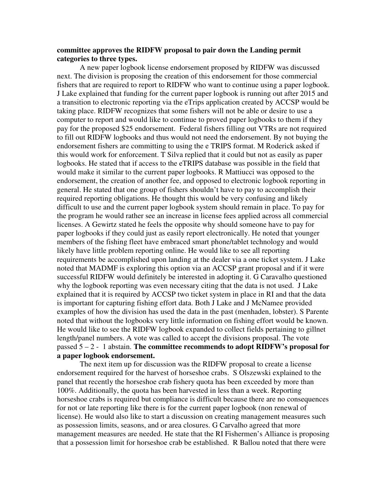#### **committee approves the RIDFW proposal to pair down the Landing permit categories to three types.**

A new paper logbook license endorsement proposed by RIDFW was discussed next. The division is proposing the creation of this endorsement for those commercial fishers that are required to report to RIDFW who want to continue using a paper logbook. J Lake explained that funding for the current paper logbook is running out after 2015 and a transition to electronic reporting via the eTrips application created by ACCSP would be taking place. RIDFW recognizes that some fishers will not be able or desire to use a computer to report and would like to continue to proved paper logbooks to them if they pay for the proposed \$25 endorsement. Federal fishers filling out VTRs are not required to fill out RIDFW logbooks and thus would not need the endorsement. By not buying the endorsement fishers are committing to using the e TRIPS format. M Roderick asked if this would work for enforcement. T Silva replied that it could but not as easily as paper logbooks. He stated that if access to the eTRIPS database was possible in the field that would make it similar to the current paper logbooks. R Mattiucci was opposed to the endorsement, the creation of another fee, and opposed to electronic logbook reporting in general. He stated that one group of fishers shouldn't have to pay to accomplish their required reporting obligations. He thought this would be very confusing and likely difficult to use and the current paper logbook system should remain in place. To pay for the program he would rather see an increase in license fees applied across all commercial licenses. A Gewirtz stated he feels the opposite why should someone have to pay for paper logbooks if they could just as easily report electronically. He noted that younger members of the fishing fleet have embraced smart phone/tablet technology and would likely have little problem reporting online. He would like to see all reporting requirements be accomplished upon landing at the dealer via a one ticket system. J Lake noted that MADMF is exploring this option via an ACCSP grant proposal and if it were successful RIDFW would definitely be interested in adopting it. G Caravalho questioned why the logbook reporting was even necessary citing that the data is not used. J Lake explained that it is required by ACCSP two ticket system in place in RI and that the data is important for capturing fishing effort data. Both J Lake and J McNamee provided examples of how the division has used the data in the past (menhaden, lobster). S Parente noted that without the logbooks very little information on fishing effort would be known. He would like to see the RIDFW logbook expanded to collect fields pertaining to gillnet length/panel numbers. A vote was called to accept the divisions proposal. The vote passed 5 – 2 - 1 abstain. **The committee recommends to adopt RIDFW's proposal for a paper logbook endorsement.**

The next item up for discussion was the RIDFW proposal to create a license endorsement required for the harvest of horseshoe crabs. S Olszewski explained to the panel that recently the horseshoe crab fishery quota has been exceeded by more than 100%. Additionally, the quota has been harvested in less than a week. Reporting horseshoe crabs is required but compliance is difficult because there are no consequences for not or late reporting like there is for the current paper logbook (non renewal of license). He would also like to start a discussion on creating management measures such as possession limits, seasons, and or area closures. G Carvalho agreed that more management measures are needed. He state that the RI Fishermen's Alliance is proposing that a possession limit for horseshoe crab be established. R Ballou noted that there were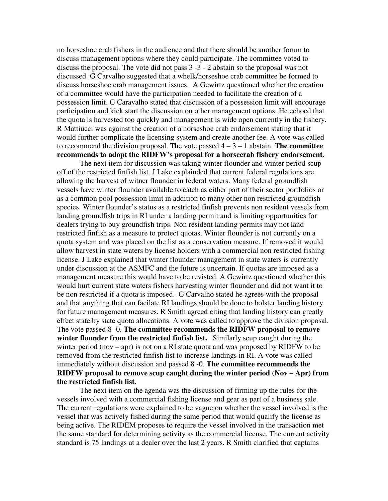no horseshoe crab fishers in the audience and that there should be another forum to discuss management options where they could participate. The committee voted to discuss the proposal. The vote did not pass 3 -3 - 2 abstain so the proposal was not discussed. G Carvalho suggested that a whelk/horseshoe crab committee be formed to discuss horseshoe crab management issues. A Gewirtz questioned whether the creation of a committee would have the participation needed to facilitate the creation of a possession limit. G Caravalho stated that discussion of a possession limit will encourage participation and kick start the discussion on other management options. He echoed that the quota is harvested too quickly and management is wide open currently in the fishery. R Mattiucci was against the creation of a horseshoe crab endorsement stating that it would further complicate the licensing system and create another fee. A vote was called to recommend the division proposal. The vote passed  $4 - 3 - 1$  abstain. **The committee recommends to adopt the RIDFW's proposal for a horsecrab fishery endorsement.**

The next item for discussion was taking winter flounder and winter period scup off of the restricted finfish list. J Lake explainded that current federal regulations are allowing the harvest of witner flounder in federal waters. Many federal groundfish vessels have winter flounder available to catch as either part of their sector portfolios or as a common pool possession limit in addition to many other non restricted groundfish species. Winter flounder's status as a restricted finfish prevents non resident vessels from landing groundfish trips in RI under a landing permit and is limiting opportunities for dealers trying to buy groundfish trips. Non resident landing permits may not land restricted finfish as a measure to protect quotas. Winter flounder is not currently on a quota system and was placed on the list as a conservation measure. If removed it would allow harvest in state waters by license holders with a commercial non restricted fishing license. J Lake explained that winter flounder management in state waters is currently under discussion at the ASMFC and the future is uncertain. If quotas are imposed as a management measure this would have to be revisted. A Gewirtz questioned whether this would hurt current state waters fishers harvesting winter flounder and did not want it to be non restricted if a quota is imposed. G Carvalho stated he agrees with the proposal and that anything that can facilate RI landings should be done to bolster landing history for future management measures. R Smith agreed citing that landing history can greatly effect state by state quota allocations. A vote was called to approve the division proposal. The vote passed 8 -0. **The committee recommends the RIDFW proposal to remove winter flounder from the restricted finfish list.** Similarly scup caught during the winter period (nov – apr) is not on a RI state quota and was proposed by RIDFW to be removed from the restricted finfish list to increase landings in RI. A vote was called immediately without discussion and passed 8 -0. **The committee recommends the RIDFW proposal to remove scup caught during the winter period (Nov – Apr) from the restricted finfish list.** 

The next item on the agenda was the discussion of firming up the rules for the vessels involved with a commercial fishing license and gear as part of a business sale. The current regulations were explained to be vague on whether the vessel involved is the vessel that was actively fished during the same period that would qualify the license as being active. The RIDEM proposes to require the vessel involved in the transaction met the same standard for determining activity as the commercial license. The current activity standard is 75 landings at a dealer over the last 2 years. R Smith clarified that captains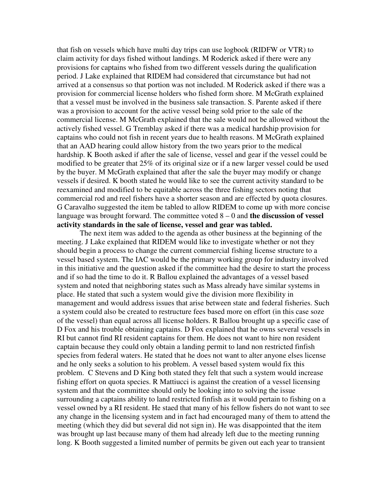that fish on vessels which have multi day trips can use logbook (RIDFW or VTR) to claim activity for days fished without landings. M Roderick asked if there were any provisions for captains who fished from two different vessels during the qualification period. J Lake explained that RIDEM had considered that circumstance but had not arrived at a consensus so that portion was not included. M Roderick asked if there was a provision for commercial license holders who fished form shore. M McGrath explained that a vessel must be involved in the business sale transaction. S. Parente asked if there was a provision to account for the active vessel being sold prior to the sale of the commercial license. M McGrath explained that the sale would not be allowed without the actively fished vessel. G Tremblay asked if there was a medical hardship provision for captains who could not fish in recent years due to health reasons. M McGrath explained that an AAD hearing could allow history from the two years prior to the medical hardship. K Booth asked if after the sale of license, vessel and gear if the vessel could be modified to be greater that 25% of its original size or if a new larger vessel could be used by the buyer. M McGrath explained that after the sale the buyer may modify or change vessels if desired. K booth stated he would like to see the current activity standard to be reexamined and modified to be equitable across the three fishing sectors noting that commercial rod and reel fishers have a shorter season and are effected by quota closures. G Caravalho suggested the item be tabled to allow RIDEM to come up with more concise language was brought forward. The committee voted 8 – 0 and **the discussion of vessel activity standards in the sale of license, vessel and gear was tabled.**

The next item was added to the agenda as other business at the beginning of the meeting. J Lake explained that RIDEM would like to investigate whether or not they should begin a process to change the current commercial fishing license structure to a vessel based system. The IAC would be the primary working group for industry involved in this initiative and the question asked if the committee had the desire to start the process and if so had the time to do it. R Ballou explained the advantages of a vessel based system and noted that neighboring states such as Mass already have similar systems in place. He stated that such a system would give the division more flexibility in management and would address issues that arise between state and federal fisheries. Such a system could also be created to restructure fees based more on effort (in this case soze of the vessel) than equal across all license holders. R Ballou brought up a specific case of D Fox and his trouble obtaining captains. D Fox explained that he owns several vessels in RI but cannot find RI resident captains for them. He does not want to hire non resident captain because they could only obtain a landing permit to land non restricted finfish species from federal waters. He stated that he does not want to alter anyone elses license and he only seeks a solution to his problem. A vessel based system would fix this problem. C Stevens and D King both stated they felt that such a system would increase fishing effort on quota species. R Mattiucci is against the creation of a vessel licensing system and that the committee should only be looking into to solving the issue surrounding a captains ability to land restricted finfish as it would pertain to fishing on a vessel owned by a RI resident. He staed that many of his fellow fishers do not want to see any change in the licensing system and in fact had encouraged many of them to attend the meeting (which they did but several did not sign in). He was disappointed that the item was brought up last because many of them had already left due to the meeting running long. K Booth suggested a limited number of permits be given out each year to transient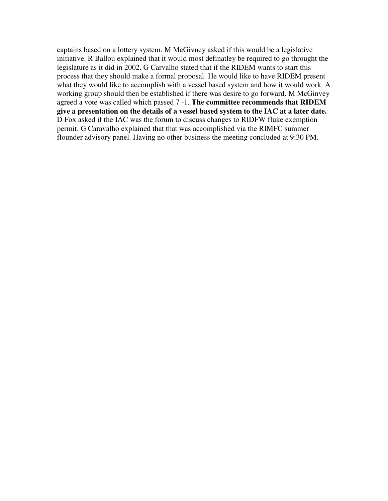captains based on a lottery system. M McGivney asked if this would be a legislative initiative. R Ballou explained that it would most definatley be required to go throught the legislature as it did in 2002. G Carvalho stated that if the RIDEM wants to start this process that they should make a formal proposal. He would like to have RIDEM present what they would like to accomplish with a vessel based system and how it would work. A working group should then be established if there was desire to go forward. M McGinvey agreed a vote was called which passed 7 -1. **The committee recommends that RIDEM give a presentation on the details of a vessel based system to the IAC at a later date.**  D Fox asked if the IAC was the forum to discuss changes to RIDFW fluke exemption permit. G Caravalho explained that that was accomplished via the RIMFC summer flounder advisory panel. Having no other business the meeting concluded at 9:30 PM.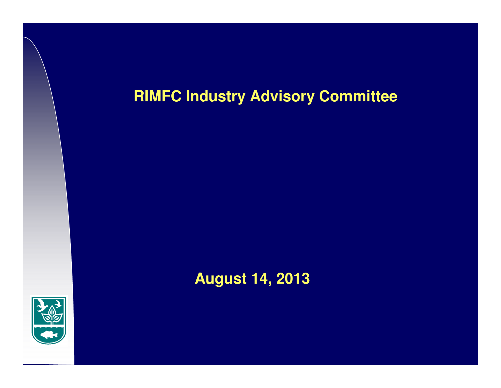# **RIMFC Industry Advisory Committee**



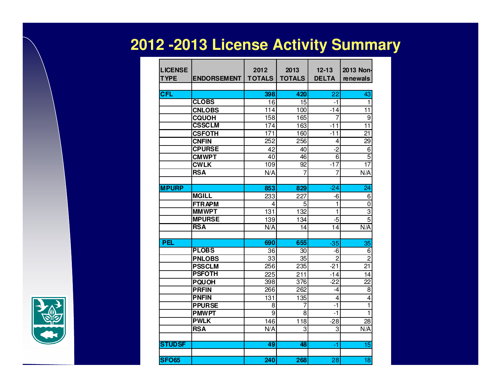# **2012 -2013 License Activity Summary**

| <b>LICENSE</b><br><b>TYPE</b> | <b>ENDORSEMENT</b> | 2012<br><b>TOTALS</b> | 2013<br><b>TOTALS</b> | $12 - 13$<br><b>DELTA</b> | 2013 Non-<br>renewals   |
|-------------------------------|--------------------|-----------------------|-----------------------|---------------------------|-------------------------|
| <b>CFL</b>                    |                    | 398                   | 420                   | 22                        | 43                      |
|                               | <b>CLOBS</b>       | 16                    | $\overline{15}$       | -1                        | 1                       |
|                               | <b>CNLOBS</b>      | 114                   | 100                   | $-14$                     | 11                      |
|                               | <b>CQUOH</b>       | 158                   | 165                   | 7                         | 9                       |
|                               | <b>CSSCLM</b>      | 174                   | 163                   | -11                       | 11                      |
|                               | <b>CSFOTH</b>      | 171                   | 160                   | $-11$                     | 21                      |
|                               | <b>CNFIN</b>       | 252                   | 256                   | 4                         | 29                      |
|                               | <b>CPURSE</b>      | 42                    | 40                    | $\overline{2}$            | 6                       |
|                               | <b>CMWPT</b>       | 40                    | 46                    | 6                         | $\overline{5}$          |
|                               | <b>CWLK</b>        | 109                   | 92                    | $-17$                     | 17                      |
|                               | <b>RSA</b>         | N/A                   | 7                     | 7                         | N/A                     |
|                               |                    |                       |                       |                           |                         |
| <b>MPURP</b>                  |                    | 853                   | 829                   | $-24$                     | 24                      |
|                               | <b>MGILL</b>       | 233                   | 227                   | -6                        | 6                       |
|                               | <b>FTRAPM</b>      | 4                     | 5                     | 1                         | 0                       |
|                               | <b>MMWPT</b>       | 131                   | 132                   | 1                         | $\overline{3}$          |
|                               | <b>MPURSE</b>      | 139                   | 134                   | -5                        | 5                       |
|                               | <b>RSA</b>         | N/A                   | 14                    | 14                        | N/A                     |
|                               |                    |                       |                       |                           |                         |
| <b>PEL</b>                    |                    | 690                   | 655                   | $-35$                     | 35                      |
|                               | <b>PLOBS</b>       | 36                    | 30                    | -6                        | 6                       |
|                               | <b>PNLOBS</b>      | $\overline{33}$       | 35                    | $\overline{2}$            | $\overline{2}$          |
|                               | <b>PSSCLM</b>      | 256                   | 235                   | $-21$                     | 21                      |
|                               | <b>PSFOTH</b>      | $\overline{225}$      | $\overline{211}$      | -14                       | 14                      |
|                               | <b>PQUOH</b>       | 398                   | 376                   | $-22$                     | 22                      |
|                               | <b>PRFIN</b>       | 266                   | 262                   | -4                        | 8                       |
|                               | <b>PNFIN</b>       | $\overline{131}$      | 135                   | 4                         | 4                       |
|                               | <b>PPURSE</b>      | 8                     | 7                     | -1                        | $\overline{\mathbf{1}}$ |
|                               | <b>PMWPT</b>       | 9                     | 8                     | $-1$                      | 1                       |
|                               | <b>PWLK</b>        | 146                   | 118                   | $-28$                     | 28                      |
|                               | <b>RSA</b>         | N/A                   | 3                     | 3                         | N/A                     |
|                               |                    |                       |                       |                           |                         |
| <b>STUDSF</b>                 |                    | 49                    | 48                    | -1                        | 15                      |
| <b>SFO65</b>                  |                    | 240                   | 268                   | 28                        | 18                      |

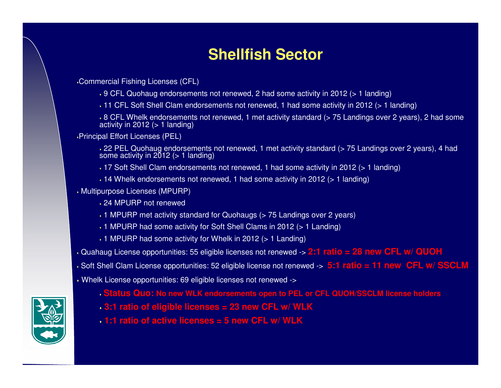## **Shellfish Sector**

Commercial Fishing Licenses (CFL)

- 9 CFL Quohaug endorsements not renewed, 2 had some activity in 2012 (> 1 landing)
- 11 CFL Soft Shell Clam endorsements not renewed, 1 had some activity in 2012 (> 1 landing)

 8 CFL Whelk endorsements not renewed, 1 met activity standard (> 75 Landings over 2 years), 2 had someactivity in 2012 ( $> 1$  landing)

Principal Effort Licenses (PEL)

 22 PEL Quohaug endorsements not renewed, 1 met activity standard (> 75 Landings over 2 years), 4 had some activity in  $2012$  (> 1 landing)

17 Soft Shell Clam endorsements not renewed, 1 had some activity in 2012 (> 1 landing)

- 14 Whelk endorsements not renewed, 1 had some activity in 2012 (> 1 landing)
- Multipurpose Licenses (MPURP)
	- 24 MPURP not renewed
	- $\,\boldsymbol{\cdot}$  1 MPURP met activity standard for Quohaugs (> 75 Landings over 2 years)
	- 1 MPURP had some activity for Soft Shell Clams in 2012 (> 1 Landing)
	- 1 MPURP had some activity for Whelk in 2012 (> 1 Landing)

Quahaug License opportunities: 55 eligible licenses not renewed -> **2:1 ratio = 28 new CFL w/ QUOH**

- Soft Shell Clam License opportunities: 52 eligible license not renewed -> **5:1 ratio = 11 new CFL w/ SSCLM**
- Whelk License opportunities: 69 eligible licenses not renewed ->
	- **Status Quo: No new WLK endorsements open to PEL or CFL QUOH/SSCLM license holders**
	- **3:1 ratio of eligible licenses = 23 new CFL w/ WLK**
	- **1:1 ratio of active licenses = 5 new CFL w/ WLK**

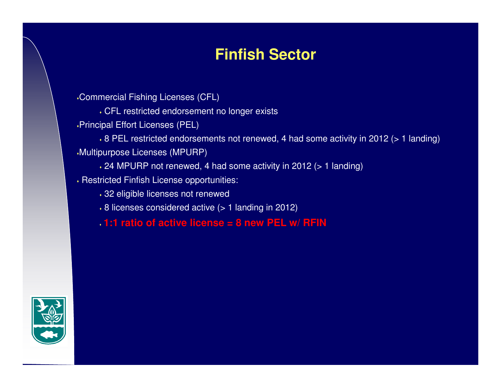## **Finfish Sector**

Commercial Fishing Licenses (CFL)

CFL restricted endorsement no longer exists

Principal Effort Licenses (PEL)

 $\cdot$  8 PEL restricted endorsements not renewed, 4 had some activity in 2012 (> 1 landing) Multipurpose Licenses (MPURP)

24 MPURP not renewed, 4 had some activity in 2012 (> 1 landing)

 $\bm{\cdot}$  Restricted Finfish License opportunities:

32 eligible licenses not renewed

8 licenses considered active (> 1 landing in 2012)

**1:1 ratio of active license = 8 new PEL w/ RFIN**

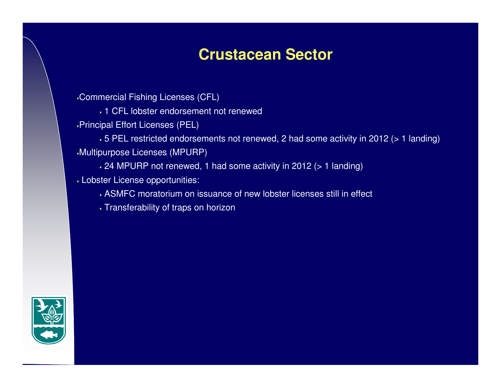## **Crustacean Sector**

Commercial Fishing Licenses (CFL)

1 CFL lobster endorsement not renewed

Principal Effort Licenses (PEL)

 5 PEL restricted endorsements not renewed, 2 had some activity in 2012 (> 1 landing)Multipurpose Licenses (MPURP)

24 MPURP not renewed, 1 had some activity in 2012 (> 1 landing)

Lobster License opportunities:

ASMFC moratorium on issuance of new lobster licenses still in effect

 $\bm{\cdot}$  Transferability of traps on horizon

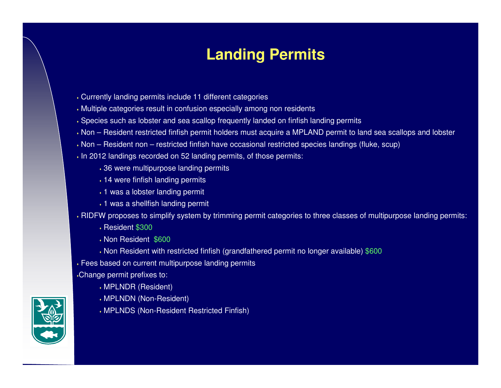## **Landing Permits**

- Currently landing permits include 11 different categories
- Multiple categories result in confusion especially among non residents
- $\cdot$  Species such as lobster and sea scallop frequently landed on finfish landing permits
- Non Resident restricted finfish permit holders must acquire a MPLAND permit to land sea scallops and lobster
- Non Resident non restricted finfish have occasional restricted species landings (fluke, scup)
- $\bm{\cdot}$  In 2012 landings recorded on 52 landing permits, of those permits:
	- 36 were multipurpose landing permits
	- 14 were finfish landing permits
	- $\bm{\cdot}$  1 was a lobster landing permit
	- $\bm{\cdot}$  1 was a shellfish landing permit
- $\cdot$  RIDFW proposes to simplify system by trimming permit categories to three classes of multipurpose landing permits:
	- Resident \$300
	- Non Resident \$600
	- Non Resident with restricted finfish (grandfathered permit no longer available) \$600
- Fees based on current multipurpose landing permits
- Change permit prefixes to:
	- MPLNDR (Resident)
	- MPLNDN (Non-Resident)
	- MPLNDS (Non-Resident Restricted Finfish)

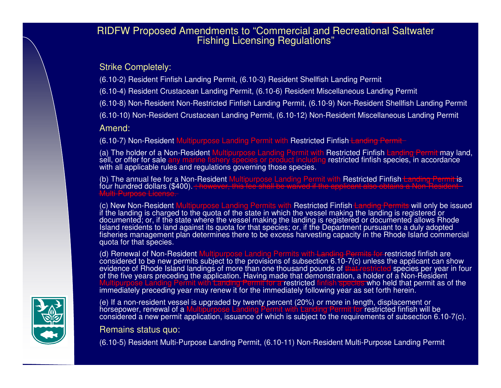# RIDFW Proposed Amendments to "Commercial and Recreational Saltwater Fishing Licensing Regulations"

Strike Completely:

(6.10-2) Resident Finfish Landing Permit, (6.10-3) Resident Shellfish Landing Permit

(6.10-4) Resident Crustacean Landing Permit, (6.10-6) Resident Miscellaneous Landing Permit

(6.10-8) Non-Resident Non-Restricted Finfish Landing Permit, (6.10-9) Non-Resident Shellfish Landing Permit

(6.10-10) Non-Resident Crustacean Landing Permit, (6.10-12) Non-Resident Miscellaneous Landing Permit

Amend:

(6.10-7) Non-Resident Multipurpose Landing Permit wit<mark>h Restricted Finfish <del>Landing Permit</del></mark>

(a) The holder of a Non-Resident Multipurpose Landing Permit with Restricted Finfish <del>Landing Permit</del> may land,<br>sell, or offer for sale any marine fishery species or product including restricted finfish species, in accorda

(b) The annual fee for a Non-Resident Multipurpose Landing Permit with Restricted Finfish<del> Landing Permit i</del>s<br>four hundred dollars (\$400). <del>; however, this fee shall be waived if the applicant also obtains a Non-Resident -</del>

(c) New Non-Resident Multipurpose Landing Permits with Restricted Finfish <del>Landing Permits</del> will only be issued<br>If the landing is above ad to the gusta of the atota in which the vessel making the landing is registered or if the landing is charged to the quota of the state in which the vessel making the landing is registered or documented; or, if the state where the vessel making the landing is registered or documented allows Rhode Island residents to land against its quota for that species; or, if the Department pursuant to a duly adopted fisheries management plan determines there to be excess harvesting capacity in the Rhode Island commercial quota for that species.

(d) Renewal of Non-Resident Multipurpose Landing Permits with Landing Permits for restricted finfish are considered to be new permits subject to the provisions of subsection 6.10-7(c) unless the applicant can show<br>evidence of Rhode Island landings of more than one thousand pounds of that restricted species per year in four<br>of Multipurpose Landing Permit with Landing Permit for a restricted finfish species who held that permit as of the<br>immediately preceding year may renew it for the immediately following year as set forth herein.

(e) If a non-resident vessel is upgraded by twenty percent (20%) or more in length, displacement or horsepower, renewal of a Multipurpose Landing Permit with <del>Landing Permit for</del> restricted finfish will be considered a new permit application, issuance of which is subject to the requirements of subsection 6.10-7(c).

Remains status quo:

(6.10-5) Resident Multi-Purpose Landing Permit, (6.10-11) Non-Resident Multi-Purpose Landing Permit

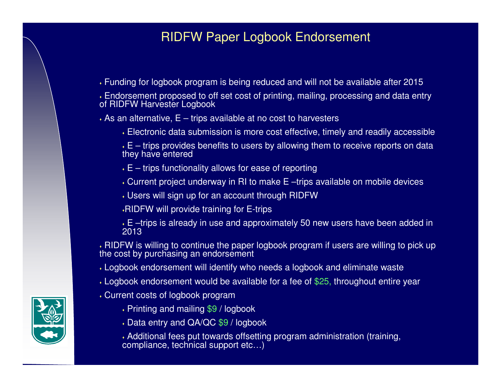### RIDFW Paper Logbook Endorsement

Funding for logbook program is being reduced and will not be available after 2015

 $\boldsymbol{\cdot}$  Endorsement proposed to off set cost of printing, mailing, processing and data entry<br>of RIDFW Harvester Logbook

 $\bm{\cdot}$  As an alternative, E – trips available at no cost to harvesters

Electronic data submission is more cost effective, timely and readily accessible

 $\cdot$  E – trips provides benefits to users by allowing them to receive reports on data they have entered

- $\overline{\star}$  E trips functionality allows for ease of reporting
- Current project underway in RI to make E –trips available on mobile devices
- Users will sign up for an account through RIDFW
- RIDFW will provide training for E-trips
- E –trips is already in use and approximately 50 new users have been added in 2013

 $\cdot$  RIDFW is willing to continue the paper logbook program if users are willing to pick up the cost by purchasing an endorsement

- Logbook endorsement will identify who needs a logbook and eliminate waste
- Logbook endorsement would be available for a fee of \$25, throughout entire year
- Current costs of logbook program
	- Printing and mailing \$9 / logbook
	- Data entry and QA/QC \$9 / logbook
	- Additional fees put towards offsetting program administration (training, compliance, technical support etc…)

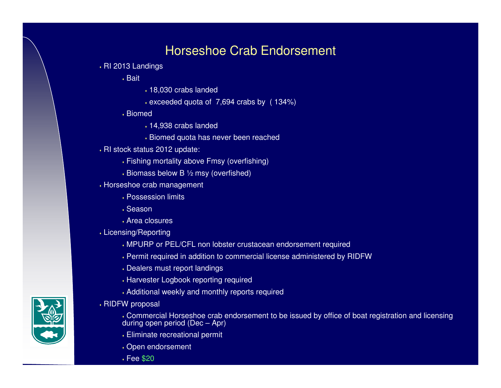### Horseshoe Crab Endorsement

- RI 2013 Landings
	- $\boldsymbol{\cdot}$  Bait
- 18,030 crabs landed
- exceeded quota of 7,694 crabs by ( 134%)
- Biomed
	- 14,938 crabs landed
	- Biomed quota has never been reached
- $\bm{\cdot}$  RI stock status 2012 update:
	- Fishing mortality above Fmsy (overfishing)
	- $\boldsymbol{\cdot}$  Biomass below B  $\boldsymbol{\%}$  msy (overfished)
- Horseshoe crab management
	- Possession limits
	- $\boldsymbol{\cdot}$  Season
	- Area closures
- Licensing/Reporting
	- MPURP or PEL/CFL non lobster crustacean endorsement required
	- Permit required in addition to commercial license administered by RIDFW
	- Dealers must report landings
	- Harvester Logbook reporting required
	- Additional weekly and monthly reports required
- $\boldsymbol{\cdot}$  RIDFW proposal
	- Commercial Horseshoe crab endorsement to be issued by office of boat registration and licensing during open period (Dec – Apr)
	- Eliminate recreational permit
	- Open endorsement
	- Fee \$20

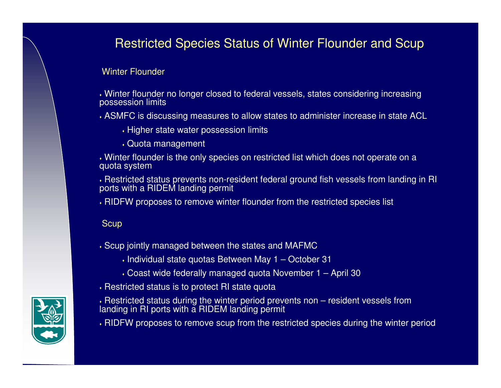## Restricted Species Status of Winter Flounder and Scup

### Winter Flounder

 Winter flounder no longer closed to federal vessels, states considering increasing possession limits

ASMFC is discussing measures to allow states to administer increase in state ACL

 $\bm{\cdot}$  Higher state water possession limits

Quota management

 Winter flounder is the only species on restricted list which does not operate on a quota system

Restricted status prevents non-resident federal ground fish vessels from landing in RI ports with a RIDEM landing permit

 $\bm{\cdot}$  RIDFW proposes to remove winter flounder from the restricted species list

### **Scup**

- $\boldsymbol{\cdot}$  Scup jointly managed between the states and MAFMC
	- $\boldsymbol{\cdot}$  Individual state quotas Between May 1 October 31
	- Coast wide federally managed quota November 1 April 30
- $\bm{\cdot}$  Restricted status is to protect RI state quota
- Restricted status during the winter period prevents non resident vessels from landing in RI ports with a RIDEM landing permit
- RIDFW proposes to remove scup from the restricted species during the winter period